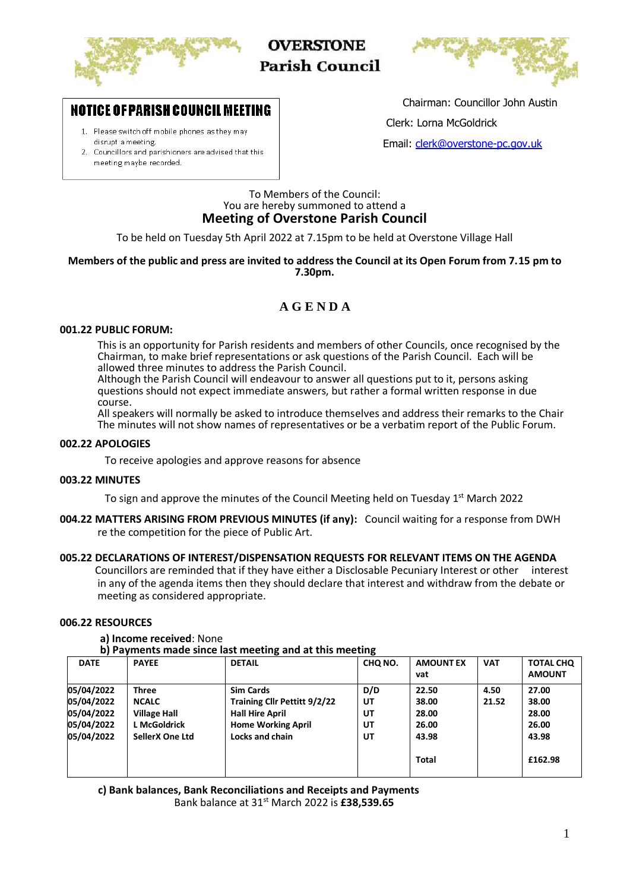

**OVERSTONE Parish Council** 



# **NOTICE OF PARISH COUNCIL MEETING**

- 1. Please switch off mobile phones as they may disrupt a meeting.
- 2. Councillors and parishioners are advised that this meeting maybe recorded.

Chairman: Councillor John Austin

Clerk: Lorna McGoldrick

Email: [clerk@overstone-pc.gov.uk](mailto:clerk@overstone-pc.gov.uk)

#### To Members of the Council: You are hereby summoned to attend a **Meeting of Overstone Parish Council**

To be held on Tuesday 5th April 2022 at 7.15pm to be held at Overstone Village Hall

#### **Members of the public and press are invited to address the Council at its Open Forum from 7.15 pm to 7.30pm.**

## **A G E N D A**

#### **001.22 PUBLIC FORUM:**

This is an opportunity for Parish residents and members of other Councils, once recognised by the Chairman, to make brief representations or ask questions of the Parish Council. Each will be allowed three minutes to address the Parish Council.

Although the Parish Council will endeavour to answer all questions put to it, persons asking questions should not expect immediate answers, but rather a formal written response in due course.

All speakers will normally be asked to introduce themselves and address their remarks to the Chair The minutes will not show names of representatives or be a verbatim report of the Public Forum.

#### **002.22 APOLOGIES**

To receive apologies and approve reasons for absence

#### **003.22 MINUTES**

To sign and approve the minutes of the Council Meeting held on Tuesday 1<sup>st</sup> March 2022

**004.22 MATTERS ARISING FROM PREVIOUS MINUTES (if any):** Council waiting for a response from DWH re the competition for the piece of Public Art.

#### **005.22 DECLARATIONS OF INTEREST/DISPENSATION REQUESTS FOR RELEVANT ITEMS ON THE AGENDA**

 Councillors are reminded that if they have either a Disclosable Pecuniary Interest or other interest in any of the agenda items then they should declare that interest and withdraw from the debate or meeting as considered appropriate.

### **006.22 RESOURCES**

#### **a) Income received**: None

**b) Payments made since last meeting and at this meeting**

| with a function thanks builde not the company with a companies only |                        |                              |         |                  |            |                  |  |  |  |
|---------------------------------------------------------------------|------------------------|------------------------------|---------|------------------|------------|------------------|--|--|--|
| <b>DATE</b>                                                         | <b>PAYEE</b>           | <b>DETAIL</b>                | CHO NO. | <b>AMOUNT EX</b> | <b>VAT</b> | <b>TOTAL CHQ</b> |  |  |  |
|                                                                     |                        |                              |         | vat              |            | <b>AMOUNT</b>    |  |  |  |
| 05/04/2022                                                          | Three                  | <b>Sim Cards</b>             | D/D     | 22.50            | 4.50       | 27.00            |  |  |  |
| 05/04/2022                                                          | <b>NCALC</b>           | Training Cllr Pettitt 9/2/22 | UT      | 38.00            | 21.52      | 38.00            |  |  |  |
| 05/04/2022                                                          | <b>Village Hall</b>    | <b>Hall Hire April</b>       | UT      | 28.00            |            | 28.00            |  |  |  |
| 05/04/2022                                                          | <b>L McGoldrick</b>    | <b>Home Working April</b>    | UT      | 26.00            |            | 26.00            |  |  |  |
| 05/04/2022                                                          | <b>SellerX One Ltd</b> | Locks and chain              | UT      | 43.98            |            | 43.98            |  |  |  |
|                                                                     |                        |                              |         | Total            |            | £162.98          |  |  |  |

 **c) Bank balances, Bank Reconciliations and Receipts and Payments**

Bank balance at 31st March 2022 is **£38,539.65**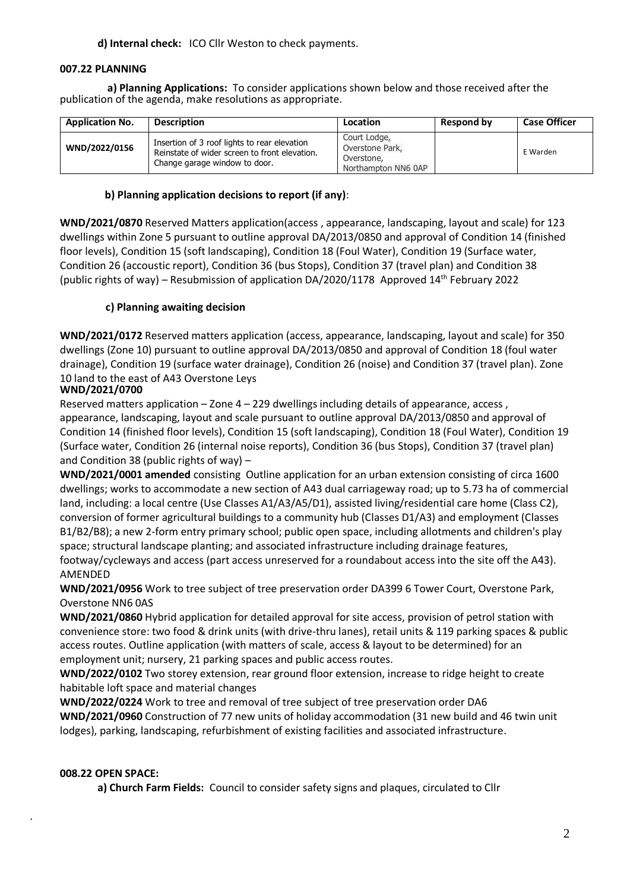**d) Internal check:** ICO Cllr Weston to check payments.

## **007.22 PLANNING**

 **a) Planning Applications:** To consider applications shown below and those received after the publication of the agenda, make resolutions as appropriate.

| <b>Application No.</b> | <b>Description</b>                                                                                                             | Location                                                             | Respond by | <b>Case Officer</b> |
|------------------------|--------------------------------------------------------------------------------------------------------------------------------|----------------------------------------------------------------------|------------|---------------------|
| WND/2022/0156          | Insertion of 3 roof lights to rear elevation<br>Reinstate of wider screen to front elevation.<br>Change garage window to door. | Court Lodge,<br>Overstone Park,<br>Overstone,<br>Northampton NN6 0AP |            | E Warden            |

## **b) Planning application decisions to report (if any)**:

**WND/2021/0870** Reserved Matters application(access , appearance, landscaping, layout and scale) for 123 dwellings within Zone 5 pursuant to outline approval DA/2013/0850 and approval of Condition 14 (finished floor levels), Condition 15 (soft landscaping), Condition 18 (Foul Water), Condition 19 (Surface water, Condition 26 (accoustic report), Condition 36 (bus Stops), Condition 37 (travel plan) and Condition 38 (public rights of way) – Resubmission of application DA/2020/1178 Approved  $14<sup>th</sup>$  February 2022

## **c) Planning awaiting decision**

**WND/2021/0172** Reserved matters application (access, appearance, landscaping, layout and scale) for 350 dwellings (Zone 10) pursuant to outline approval DA/2013/0850 and approval of Condition 18 (foul water drainage), Condition 19 (surface water drainage), Condition 26 (noise) and Condition 37 (travel plan). Zone 10 land to the east of A43 Overstone Leys

## **WND/2021/0700**

Reserved matters application – Zone  $4 - 229$  dwellings including details of appearance, access, appearance, landscaping, layout and scale pursuant to outline approval DA/2013/0850 and approval of Condition 14 (finished floor levels), Condition 15 (soft landscaping), Condition 18 (Foul Water), Condition 19 (Surface water, Condition 26 (internal noise reports), Condition 36 (bus Stops), Condition 37 (travel plan) and Condition 38 (public rights of way) –

**DA/2020/000 WND/2021/0001 amended** consisting Outline application for an urban extension consisting of circa 1600 dwellings; works to accommodate a new section of A43 dual carriageway road; up to 5.73 ha of commercial land, including: a local centre (Use Classes A1/A3/A5/D1), assisted living/residential care home (Class C2), conversion of former agricultural buildings to a community hub (Classes D1/A3) and employment (Classes B1/B2/B8); a new 2-form entry primary school; public open space, including allotments and children's play space; structural landscape planting; and associated infrastructure including drainage features, footway/cycleways and access (part access unreserved for a roundabout access into the site off the A43). AMENDED

**WND/2021/0956** Work to tree subject of tree preservation order DA399 6 Tower Court, Overstone Park, Overstone NN6 0AS

**WND/2021/0860** Hybrid application for detailed approval for site access, provision of petrol station with convenience store: two food & drink units (with drive-thru lanes), retail units & 119 parking spaces & public access routes. Outline application (with matters of scale, access & layout to be determined) for an employment unit; nursery, 21 parking spaces and public access routes.

**WND/2022/0102** Two storey extension, rear ground floor extension, increase to ridge height to create habitable loft space and material changes

**WND/2022/0224** Work to tree and removal of tree subject of tree preservation order DA6 **WND/2021/0960** Construction of 77 new units of holiday accommodation (31 new build and 46 twin unit lodges), parking, landscaping, refurbishment of existing facilities and associated infrastructure.

## **008.22 OPEN SPACE:**

.

**a) Church Farm Fields:** Council to consider safety signs and plaques, circulated to Cllr